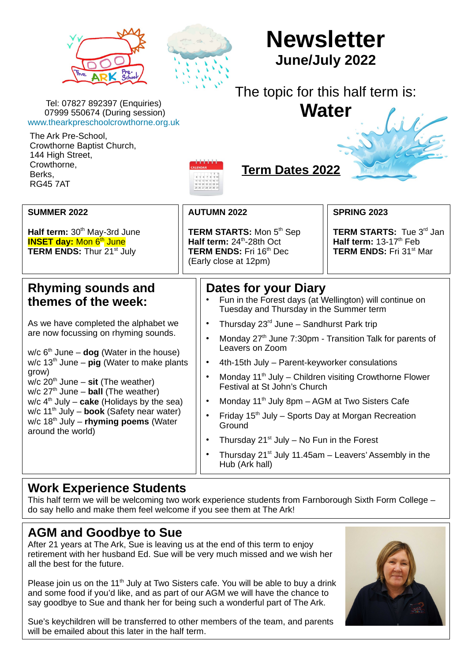



# **Newsletter June/July 2022**

# The topic for this half term is:

**Water**

Tel: 07827 892397 (Enquiries) 07999 550674 (During session) [www.thearkpreschoolcrowthorne.org.uk](../../../../../tmp/mozilla_t0/www.thearkpreschoolcrowthorne.org.uk)

The Ark Pre-School, Crowthorne Baptist Church, 144 High Street, Crowthorne, Berks, RG45 7AT



#### **Term Dates 2022**

| <b>SUMMER 2022</b>                                                                                                                                                                                                                                                                                                                                                                                                                                                 |                                                                                                                                       |                                                                                                                                                                                                                                                                                                                                                                                                                                                                                                          |  |
|--------------------------------------------------------------------------------------------------------------------------------------------------------------------------------------------------------------------------------------------------------------------------------------------------------------------------------------------------------------------------------------------------------------------------------------------------------------------|---------------------------------------------------------------------------------------------------------------------------------------|----------------------------------------------------------------------------------------------------------------------------------------------------------------------------------------------------------------------------------------------------------------------------------------------------------------------------------------------------------------------------------------------------------------------------------------------------------------------------------------------------------|--|
|                                                                                                                                                                                                                                                                                                                                                                                                                                                                    | <b>AUTUMN 2022</b>                                                                                                                    | <b>SPRING 2023</b>                                                                                                                                                                                                                                                                                                                                                                                                                                                                                       |  |
| Half term: 30 <sup>th</sup> May-3rd June<br><b>INSET day: Mon 6th June</b><br><b>TERM ENDS: Thur 21st July</b>                                                                                                                                                                                                                                                                                                                                                     | <b>TERM STARTS:</b> Mon 5 <sup>th</sup> Sep<br>Half term: $24th$ -28th Oct<br><b>TERM ENDS: Fri 16th Dec</b><br>(Early close at 12pm) | <b>TERM STARTS:</b> Tue 3 <sup>rd</sup> Jan<br>Half term: $13-17th$ Feb<br><b>TERM ENDS: Fri 31st Mar</b>                                                                                                                                                                                                                                                                                                                                                                                                |  |
| Rhyming sounds and<br>themes of the week:                                                                                                                                                                                                                                                                                                                                                                                                                          | Dates for your Diary<br>Fun in the Forest days (at Wellington) will continue on<br>Tuesday and Thursday in the Summer term            |                                                                                                                                                                                                                                                                                                                                                                                                                                                                                                          |  |
| As we have completed the alphabet we<br>are now focussing on rhyming sounds.<br>w/c $6th$ June – <b>dog</b> (Water in the house)<br>w/c $13th$ June – pig (Water to make plants<br>grow)<br>w/c $20th$ June – sit (The weather)<br>$w/c$ 27 <sup>th</sup> June – <b>ball</b> (The weather)<br>w/c $4th$ July – cake (Holidays by the sea)<br>w/c $11th$ July – book (Safety near water)<br>$w/c$ 18 <sup>th</sup> July – rhyming poems (Water<br>around the world) | $\bullet$<br>$\bullet$<br>Leavers on Zoom<br>$\bullet$<br>$\bullet$<br>$\bullet$<br>$\bullet$<br>Ground<br>$\bullet$<br>$\bullet$     | Thursday $23^{rd}$ June – Sandhurst Park trip<br>Monday 27 <sup>th</sup> June 7:30pm - Transition Talk for parents of<br>4th-15th July - Parent-keyworker consulations<br>Monday $11th$ July – Children visiting Crowthorne Flower<br>Festival at St John's Church<br>Monday 11 <sup>th</sup> July 8pm - AGM at Two Sisters Cafe<br>Friday $15th$ July – Sports Day at Morgan Recreation<br>Thursday $21^{st}$ July – No Fun in the Forest<br>Thursday $21^{st}$ July 11.45am – Leavers' Assembly in the |  |

#### **Work Experience Students**

This half term we will be welcoming two work experience students from Farnborough Sixth Form College – do say hello and make them feel welcome if you see them at The Ark!

## **AGM and Goodbye to Sue**

After 21 years at The Ark, Sue is leaving us at the end of this term to enjoy retirement with her husband Ed. Sue will be very much missed and we wish her all the best for the future.

Please join us on the  $11<sup>th</sup>$  July at Two Sisters cafe. You will be able to buy a drink and some food if you'd like, and as part of our AGM we will have the chance to say goodbye to Sue and thank her for being such a wonderful part of The Ark.

Sue's keychildren will be transferred to other members of the team, and parents will be emailed about this later in the half term.